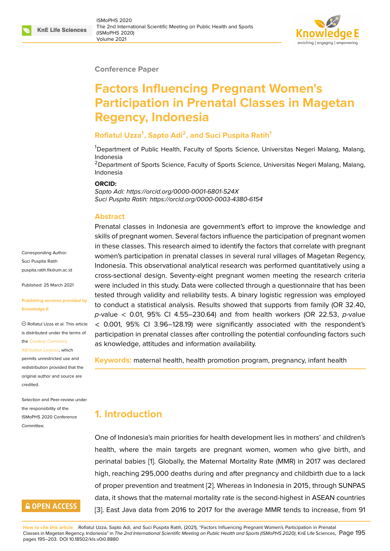#### **Conference Paper**

# **Factors Influencing Pregnant Women's Participation in Prenatal Classes in Magetan Regency, Indonesia**

### **Rofiatul Uzza<sup>1</sup> , Sapto Adi<sup>2</sup> , and Suci Puspita Ratih<sup>1</sup>**

<sup>1</sup>Department of Public Health, Faculty of Sports Science, Universitas Negeri Malang, Malang, Indonesia

<sup>2</sup> Department of Sports Science, Faculty of Sports Science, Universitas Negeri Malang, Malang, Indonesia

#### **ORCID:**

*Sapto Adi: https://orcid.org/0000-0001-6801-524X Suci Puspita Ratih: https://orcid.org/0000-0003-4380-6154*

#### **Abstract**

Prenatal classes in Indonesia are government's effort to improve the knowledge and skills of pregnant women. Several factors influence the participation of pregnant women in these classes. This research aimed to identify the factors that correlate with pregnant women's participation in prenatal classes in several rural villages of Magetan Regency, Indonesia. This observational analytical research was performed quantitatively using a cross-sectional design. Seventy-eight pregnant women meeting the research criteria were included in this study. Data were collected through a questionnaire that has been tested through validity and reliability tests. A binary logistic regression was employed to conduct a statistical analysis. Results showed that supports from family (OR 32.40, *p*-value < 0.01, 95% CI 4.55–230.64) and from health workers (OR 22.53, *p*-value < 0.001, 95% CI 3.96–128.19) were significantly associated with the respondent's participation in prenatal classes after controlling the potential confounding factors such as knowledge, attitudes and information availability.

**Keywords:** maternal health, health promotion program, pregnancy, infant health

# **1. Introduction**

One of Indonesia's main priorities for health development lies in mothers' and children's health, where the main targets are pregnant women, women who give birth, and perinatal babies [1]. Globally, the Maternal Mortality Rate (MMR) in 2017 was declared high, reaching 295,000 deaths during and after pregnancy and childbirth due to a lack of proper prevention and treatment [2]. Whereas in Indonesia in 2015, through SUNPAS data, it shows tha[t](#page-6-0) the maternal mortality rate is the second-highest in ASEAN countries [3]. East Java data from 2016 to 2017 for the average MMR tends to increase, from 91

Corresponding Author: Suci Puspita Ratih puspita.ratih.fik@um.ac.id

Published: 25 March 2021

#### **[Publishing services provi](mailto:puspita.ratih.fik@um.ac.id)ded by Knowledge E**

Rofiatul Uzza et al. This article is distributed under the terms of the Creative Commons

Attribution License, which

permits unrestricted use and redistribution provided that the orig[inal author and sou](https://creativecommons.org/licenses/by/4.0/)rce are [credited.](https://creativecommons.org/licenses/by/4.0/)

Selection and Peer-review under the responsibility of the ISMoPHS 2020 Conference **Committee** 

# **GOPEN ACCESS**

**How to cite this article**: Rofiatul Uzza, Sapto Adi, and Suci Puspita Ratih, (2021), "Factors Influencing Pregnant Women's Participation in Prenatal Classes in Magetan Regency, Indonesia" in *The 2nd International Scientific Meeting on Public Health and Sports (ISMoPHS 2020)*, KnE Life Sciences, Page 195 pages 195–203. DOI 10.18502/kls.[v0](#page-7-0)i0.8880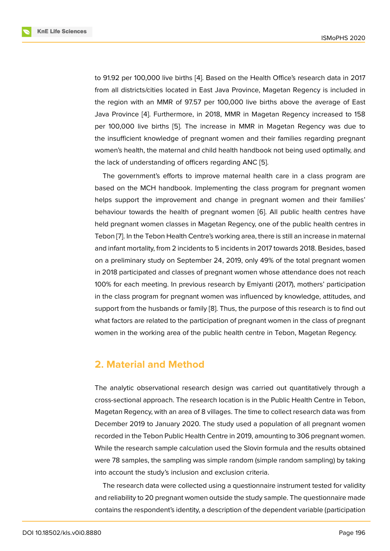to 91.92 per 100,000 live births [4]. Based on the Health Office's research data in 2017 from all districts/cities located in East Java Province, Magetan Regency is included in the region with an MMR of 97.57 per 100,000 live births above the average of East Java Province [4]. Furthermore, [in](#page-7-1) 2018, MMR in Magetan Regency increased to 158 per 100,000 live births [5]. The increase in MMR in Magetan Regency was due to the insufficient knowledge of pregnant women and their families regarding pregnant women's healt[h, t](#page-7-1)he maternal and child health handbook not being used optimally, and the lack of understandin[g o](#page-7-2)f officers regarding ANC [5].

The government's efforts to improve maternal health care in a class program are based on the MCH handbook. Implementing the class program for pregnant women helps support the improvement and change in pre[gn](#page-7-2)ant women and their families' behaviour towards the health of pregnant women [6]. All public health centres have held pregnant women classes in Magetan Regency, one of the public health centres in Tebon [7]. In the Tebon Health Centre's working area, there is still an increase in maternal and infant mortality, from 2 incidents to 5 incidents in [20](#page-7-3)17 towards 2018. Besides, based on a preliminary study on September 24, 2019, only 49% of the total pregnant women in 2018 [p](#page-7-4)articipated and classes of pregnant women whose attendance does not reach 100% for each meeting. In previous research by Emiyanti (2017), mothers' participation in the class program for pregnant women was influenced by knowledge, attitudes, and support from the husbands or family [8]. Thus, the purpose of this research is to find out what factors are related to the participation of pregnant women in the class of pregnant women in the working area of the public health centre in Tebon, Magetan Regency.

### **2. Material and Method**

The analytic observational research design was carried out quantitatively through a cross-sectional approach. The research location is in the Public Health Centre in Tebon, Magetan Regency, with an area of 8 villages. The time to collect research data was from December 2019 to January 2020. The study used a population of all pregnant women recorded in the Tebon Public Health Centre in 2019, amounting to 306 pregnant women. While the research sample calculation used the Slovin formula and the results obtained were 78 samples, the sampling was simple random (simple random sampling) by taking into account the study's inclusion and exclusion criteria.

The research data were collected using a questionnaire instrument tested for validity and reliability to 20 pregnant women outside the study sample. The questionnaire made contains the respondent's identity, a description of the dependent variable (participation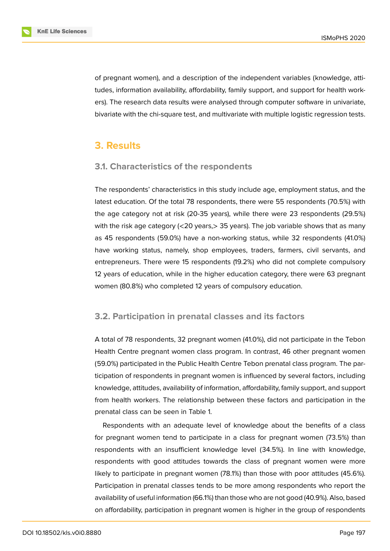of pregnant women), and a description of the independent variables (knowledge, attitudes, information availability, affordability, family support, and support for health workers). The research data results were analysed through computer software in univariate, bivariate with the chi-square test, and multivariate with multiple logistic regression tests.

### **3. Results**

### **3.1. Characteristics of the respondents**

The respondents' characteristics in this study include age, employment status, and the latest education. Of the total 78 respondents, there were 55 respondents (70.5%) with the age category not at risk (20-35 years), while there were 23 respondents (29.5%) with the risk age category  $\ll$  20 years,  $>$  35 years). The job variable shows that as many as 45 respondents (59.0%) have a non-working status, while 32 respondents (41.0%) have working status, namely, shop employees, traders, farmers, civil servants, and entrepreneurs. There were 15 respondents (19.2%) who did not complete compulsory 12 years of education, while in the higher education category, there were 63 pregnant women (80.8%) who completed 12 years of compulsory education.

### **3.2. Participation in prenatal classes and its factors**

A total of 78 respondents, 32 pregnant women (41.0%), did not participate in the Tebon Health Centre pregnant women class program. In contrast, 46 other pregnant women (59.0%) participated in the Public Health Centre Tebon prenatal class program. The participation of respondents in pregnant women is influenced by several factors, including knowledge, attitudes, availability of information, affordability, family support, and support from health workers. The relationship between these factors and participation in the prenatal class can be seen in Table 1.

Respondents with an adequate level of knowledge about the benefits of a class for pregnant women tend to participate in a class for pregnant women (73.5%) than respondents with an insufficient knowledge level (34.5%). In line with knowledge, respondents with good attitudes towards the class of pregnant women were more likely to participate in pregnant women (78.1%) than those with poor attitudes (45.6%). Participation in prenatal classes tends to be more among respondents who report the availability of useful information (66.1%) than those who are not good (40.9%). Also, based on affordability, participation in pregnant women is higher in the group of respondents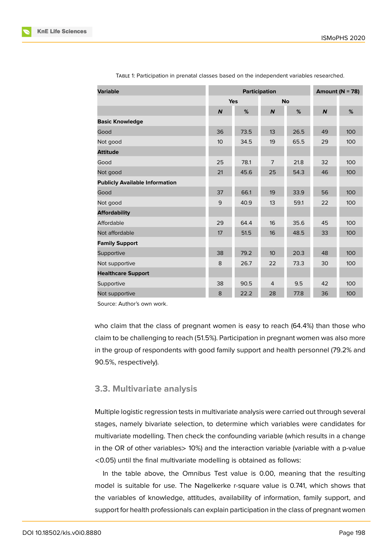| <b>Variable</b>                       |                  | Participation | Amount ( $N = 78$ ) |      |                  |     |
|---------------------------------------|------------------|---------------|---------------------|------|------------------|-----|
|                                       |                  | <b>Yes</b>    | <b>No</b>           |      |                  |     |
|                                       | $\boldsymbol{N}$ | %             | $\boldsymbol{N}$    | %    | $\boldsymbol{N}$ | %   |
| <b>Basic Knowledge</b>                |                  |               |                     |      |                  |     |
| Good                                  | 36               | 73.5          | 13                  | 26.5 | 49               | 100 |
| Not good                              | 10               | 34.5          | 19                  | 65.5 | 29               | 100 |
| <b>Attitude</b>                       |                  |               |                     |      |                  |     |
| Good                                  | 25               | 78.1          | $\overline{7}$      | 21.8 | 32               | 100 |
| Not good                              | 21               | 45.6          | 25                  | 54.3 | 46               | 100 |
| <b>Publicly Available Information</b> |                  |               |                     |      |                  |     |
| Good                                  | 37               | 66.1          | 19                  | 33.9 | 56               | 100 |
| Not good                              | 9                | 40.9          | 13                  | 59.1 | 22               | 100 |
| <b>Affordability</b>                  |                  |               |                     |      |                  |     |
| Affordable                            | 29               | 64.4          | 16                  | 35.6 | 45               | 100 |
| Not affordable                        | 17               | 51.5          | 16                  | 48.5 | 33               | 100 |
| <b>Family Support</b>                 |                  |               |                     |      |                  |     |
| Supportive                            | 38               | 79.2          | 10 <sup>1</sup>     | 20.3 | 48               | 100 |
| Not supportive                        | 8                | 26.7          | 22                  | 73.3 | 30               | 100 |
| <b>Healthcare Support</b>             |                  |               |                     |      |                  |     |
| Supportive                            | 38               | 90.5          | $\overline{4}$      | 9.5  | 42               | 100 |
| Not supportive                        | 8                | 22.2          | 28                  | 77.8 | 36               | 100 |

TABLE 1: Participation in prenatal classes based on the independent variables researched.

Source: Author's own work.

who claim that the class of pregnant women is easy to reach (64.4%) than those who claim to be challenging to reach (51.5%). Participation in pregnant women was also more in the group of respondents with good family support and health personnel (79.2% and 90.5%, respectively).

#### **3.3. Multivariate analysis**

Multiple logistic regression tests in multivariate analysis were carried out through several stages, namely bivariate selection, to determine which variables were candidates for multivariate modelling. Then check the confounding variable (which results in a change in the OR of other variables > 10%) and the interaction variable (variable with a p-value <0.05) until the final multivariate modelling is obtained as follows:

In the table above, the Omnibus Test value is 0.00, meaning that the resulting model is suitable for use. The Nagelkerke r-square value is 0.741, which shows that the variables of knowledge, attitudes, availability of information, family support, and support for health professionals can explain participation in the class of pregnant women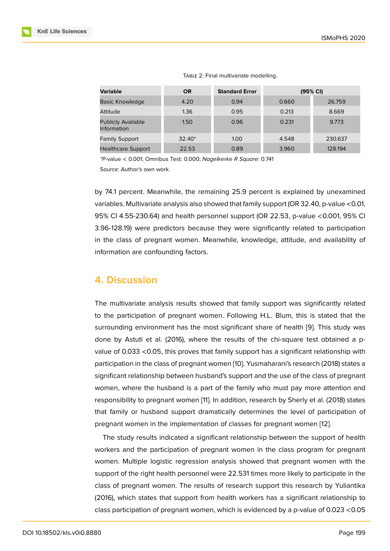| <b>Variable</b>                          | <b>OR</b> | <b>Standard Error</b> | (95% CI) |         |
|------------------------------------------|-----------|-----------------------|----------|---------|
| <b>Basic Knowledge</b>                   | 4.20      | 0.94                  | 0.660    | 26.759  |
| Attitude                                 | 1.36      | 0.95                  | 0.213    | 8.669   |
| <b>Publicly Available</b><br>Information | 1.50      | 0.96                  | 0.231    | 9.773   |
| <b>Family Support</b>                    | $32.40*$  | 1.00                  | 4.548    | 230.637 |
| <b>Healthcare Support</b>                | 22.53     | 0.89                  | 3.960    | 128.194 |

TABLE 2: Final multivariate modelling.

*\*P*-value < 0.001; Omnibus Test: 0.000; *Nagelkerke R Square*: 0.741 Source: Author's own work.

by 74.1 percent. Meanwhile, the remaining 25.9 percent is explained by unexamined variables. Multivariate analysis also showed that family support (OR 32.40, p-value <0.01, 95% CI 4.55-230.64) and health personnel support (OR 22.53, p-value <0.001, 95% CI 3.96-128.19) were predictors because they were significantly related to participation in the class of pregnant women. Meanwhile, knowledge, attitude, and availability of information are confounding factors.

### **4. Discussion**

The multivariate analysis results showed that family support was significantly related to the participation of pregnant women. Following H.L. Blum, this is stated that the surrounding environment has the most significant share of health [9]. This study was done by Astuti et al. (2016), where the results of the chi-square test obtained a pvalue of 0.033 <0.05, this proves that family support has a significant relationship with participation in the class of pregnant women [10]. Yusmaharani's rese[ar](#page-7-5)ch (2018) states a significant relationship between husband's support and the use of the class of pregnant women, where the husband is a part of the family who must pay more attention and responsibility to pregnant women [11]. In addi[tio](#page-7-6)n, research by Sherly et al. (2018) states that family or husband support dramatically determines the level of participation of pregnant women in the implementation of classes for pregnant women [12].

The study results indicated a si[gn](#page-7-7)ificant relationship between the support of health workers and the participation of pregnant women in the class program for pregnant women. Multiple logistic regression analysis showed that pregnant w[om](#page-7-8)en with the support of the right health personnel were 22.531 times more likely to participate in the class of pregnant women. The results of research support this research by Yuliantika (2016), which states that support from health workers has a significant relationship to class participation of pregnant women, which is evidenced by a p-value of 0.023 <0.05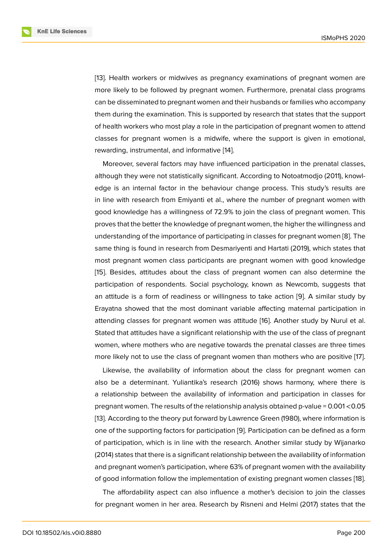[13]. Health workers or midwives as pregnancy examinations of pregnant women are more likely to be followed by pregnant women. Furthermore, prenatal class programs can be disseminated to pregnant women and their husbands or families who accompany [the](#page-7-9)m during the examination. This is supported by research that states that the support of health workers who most play a role in the participation of pregnant women to attend classes for pregnant women is a midwife, where the support is given in emotional, rewarding, instrumental, and informative [14].

Moreover, several factors may have influenced participation in the prenatal classes, although they were not statistically significant. According to Notoatmodjo (2011), knowledge is an internal factor in the behavi[our](#page-7-10) change process. This study's results are in line with research from Emiyanti et al., where the number of pregnant women with good knowledge has a willingness of 72.9% to join the class of pregnant women. This proves that the better the knowledge of pregnant women, the higher the willingness and understanding of the importance of participating in classes for pregnant women [8]. The same thing is found in research from Desmariyenti and Hartati (2019), which states that most pregnant women class participants are pregnant women with good knowledge [15]. Besides, attitudes about the class of pregnant women can also determi[ne](#page-7-11) the participation of respondents. Social psychology, known as Newcomb, suggests that an attitude is a form of readiness or willingness to take action [9]. A similar study by [Era](#page-7-12)yatna showed that the most dominant variable affecting maternal participation in attending classes for pregnant women was attitude [16]. Another study by Nurul et al. Stated that attitudes have a significant relationship with the use o[f t](#page-7-5)he class of pregnant women, where mothers who are negative towards the prenatal classes are three times more likely not to use the class of pregnant women t[han](#page-8-0) mothers who are positive [17].

Likewise, the availability of information about the class for pregnant women can also be a determinant. Yuliantika's research (2016) shows harmony, where there is a relationship between the availability of information and participation in classes [fo](#page-8-1)r pregnant women. The results of the relationship analysis obtained p-value = 0.001 <0.05 [13]. According to the theory put forward by Lawrence Green (1980), where information is one of the supporting factors for participation [9]. Participation can be defined as a form of participation, which is in line with the research. Another similar study by Wijanarko ([20](#page-7-9)14) states that there is a significant relationship between the availability of information and pregnant women's participation, where 63[%](#page-7-5) of pregnant women with the availability of good information follow the implementation of existing pregnant women classes [18].

The affordability aspect can also influence a mother's decision to join the classes for pregnant women in her area. Research by Risneni and Helmi (2017) states that the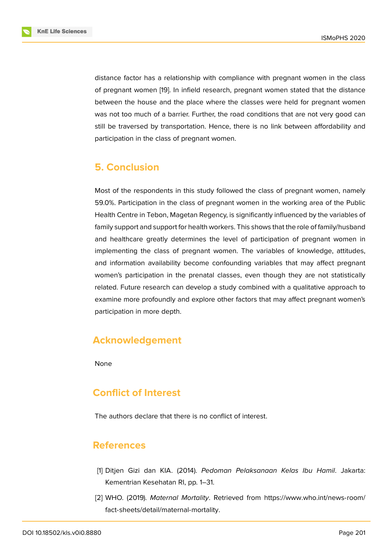distance factor has a relationship with compliance with pregnant women in the class of pregnant women [19]. In infield research, pregnant women stated that the distance between the house and the place where the classes were held for pregnant women was not too much of a barrier. Further, the road conditions that are not very good can still be traversed by transportation. Hence, there is no link between affordability and participation in the class of pregnant women.

# **5. Conclusion**

Most of the respondents in this study followed the class of pregnant women, namely 59.0%. Participation in the class of pregnant women in the working area of the Public Health Centre in Tebon, Magetan Regency, is significantly influenced by the variables of family support and support for health workers. This shows that the role of family/husband and healthcare greatly determines the level of participation of pregnant women in implementing the class of pregnant women. The variables of knowledge, attitudes, and information availability become confounding variables that may affect pregnant women's participation in the prenatal classes, even though they are not statistically related. Future research can develop a study combined with a qualitative approach to examine more profoundly and explore other factors that may affect pregnant women's participation in more depth.

# **Acknowledgement**

None

# **Conflict of Interest**

The authors declare that there is no conflict of interest.

### **References**

- [1] Ditjen Gizi dan KIA. (2014). *Pedoman Pelaksanaan Kelas Ibu Hamil*. Jakarta: Kementrian Kesehatan RI, pp. 1–31.
- <span id="page-6-0"></span>[2] WHO. (2019). *Maternal Mortality*. Retrieved from https://www.who.int/news-room/ fact-sheets/detail/maternal-mortality.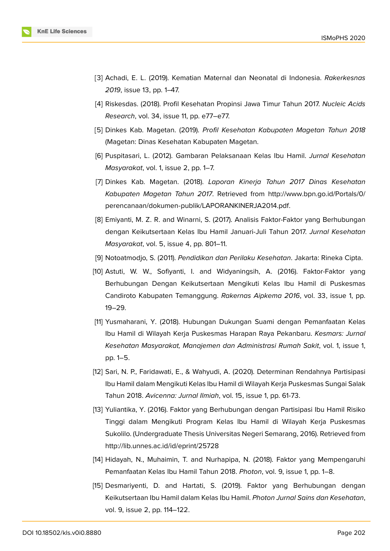- [3] Achadi, E. L. (2019). Kematian Maternal dan Neonatal di Indonesia. *Rakerkesnas 2019*, issue 13, pp. 1–47.
- <span id="page-7-0"></span>[4] Riskesdas. (2018). Profil Kesehatan Propinsi Jawa Timur Tahun 2017. *Nucleic Acids Research*, vol. 34, issue 11, pp. e77–e77.
- <span id="page-7-1"></span>[5] Dinkes Kab. Magetan. (2019). *Profil Kesehatan Kabupaten Magetan Tahun 2018* (Magetan: Dinas Kesehatan Kabupaten Magetan.
- <span id="page-7-2"></span>[6] Puspitasari, L. (2012). Gambaran Pelaksanaan Kelas Ibu Hamil. *Jurnal Kesehatan Masyarakat*, vol. 1, issue 2, pp. 1–7.
- <span id="page-7-3"></span>[7] Dinkes Kab. Magetan. (2018). *Laporan Kinerja Tahun 2017 Dinas Kesehatan Kabupaten Magetan Tahun 2017*. Retrieved from http://www.bpn.go.id/Portals/0/ perencanaan/dokumen-publik/LAPORANKINERJA2014.pdf.
- <span id="page-7-4"></span>[8] Emiyanti, M. Z. R. and Winarni, S. (2017). Analisis Faktor-Faktor yang Berhubungan dengan Keikutsertaan Kelas Ibu Hamil Januari-Juli Tahun 2017. *[Jurnal Kesehatan](http://www.bpn.go.id/Portals/0/perencanaan/dokumen-publik/LAPORANKINERJA2014.pdf.) Masyarakat*[, vol. 5, issue 4, pp. 801–11.](http://www.bpn.go.id/Portals/0/perencanaan/dokumen-publik/LAPORANKINERJA2014.pdf.)
- <span id="page-7-11"></span>[9] Notoatmodjo, S. (2011). *Pendidikan dan Perilaku Kesehatan*. Jakarta: Rineka Cipta.
- <span id="page-7-5"></span>[10] Astuti, W. W., Sofiyanti, I. and Widyaningsih, A. (2016). Faktor-Faktor yang Berhubungan Dengan Keikutsertaan Mengikuti Kelas Ibu Hamil di Puskesmas Candiroto Kabupaten Temanggung. *Rakernas Aipkema 2016*, vol. 33, issue 1, pp. 19–29.
- <span id="page-7-6"></span>[11] Yusmaharani, Y. (2018). Hubungan Dukungan Suami dengan Pemanfaatan Kelas Ibu Hamil di Wilayah Kerja Puskesmas Harapan Raya Pekanbaru. *Kesmars: Jurnal Kesehatan Masyarakat, Manajemen dan Administrasi Rumah Sakit*, vol. 1, issue 1, pp. 1–5.
- <span id="page-7-7"></span>[12] Sari, N. P., Faridawati, E., & Wahyudi, A. (2020). Determinan Rendahnya Partisipasi Ibu Hamil dalam Mengikuti Kelas Ibu Hamil di Wilayah Kerja Puskesmas Sungai Salak Tahun 2018. *Avicenna: Jurnal Ilmiah*, vol. 15, issue 1, pp. 61-73.
- <span id="page-7-8"></span>[13] Yuliantika, Y. (2016). Faktor yang Berhubungan dengan Partisipasi Ibu Hamil Risiko Tinggi dalam Mengikuti Program Kelas Ibu Hamil di Wilayah Kerja Puskesmas Sukolilo. (Undergraduate Thesis Universitas Negeri Semarang, 2016). Retrieved from http://lib.unnes.ac.id/id/eprint/25728
- <span id="page-7-9"></span>[14] Hidayah, N., Muhaimin, T. and Nurhapipa, N. (2018). Faktor yang Mempengaruhi [Pemanfaatan Kelas Ibu Hamil Tahun](http://lib.unnes.ac.id/id/eprint/25728) 2018. *Photon*, vol. 9, issue 1, pp. 1–8.
- <span id="page-7-12"></span><span id="page-7-10"></span>[15] Desmariyenti, D. and Hartati, S. (2019). Faktor yang Berhubungan dengan Keikutsertaan Ibu Hamil dalam Kelas Ibu Hamil. *Photon Jurnal Sains dan Kesehatan*, vol. 9, issue 2, pp. 114–122.